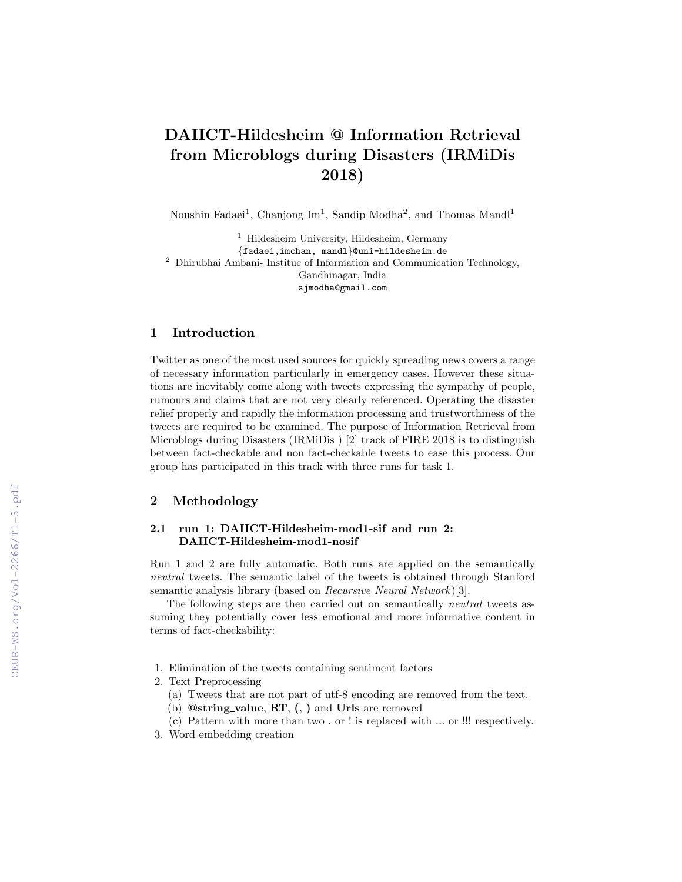# DAIICT-Hildesheim @ Information Retrieval from Microblogs during Disasters (IRMiDis 2018)

Noushin Fadaei<sup>1</sup>, Chanjong Im<sup>1</sup>, Sandip Modha<sup>2</sup>, and Thomas Mandl<sup>1</sup>

<sup>1</sup> Hildesheim University, Hildesheim, Germany {fadaei,imchan, mandl}@uni-hildesheim.de <sup>2</sup> Dhirubhai Ambani- Institue of Information and Communication Technology, Gandhinagar, India sjmodha@gmail.com

## 1 Introduction

Twitter as one of the most used sources for quickly spreading news covers a range of necessary information particularly in emergency cases. However these situations are inevitably come along with tweets expressing the sympathy of people, rumours and claims that are not very clearly referenced. Operating the disaster relief properly and rapidly the information processing and trustworthiness of the tweets are required to be examined. The purpose of Information Retrieval from Microblogs during Disasters (IRMiDis ) [2] track of FIRE 2018 is to distinguish between fact-checkable and non fact-checkable tweets to ease this process. Our group has participated in this track with three runs for task 1.

## 2 Methodology

#### 2.1 run 1: DAIICT-Hildesheim-mod1-sif and run 2: DAIICT-Hildesheim-mod1-nosif

Run 1 and 2 are fully automatic. Both runs are applied on the semantically neutral tweets. The semantic label of the tweets is obtained through Stanford semantic analysis library (based on *Recursive Neural Network*)[3].

The following steps are then carried out on semantically neutral tweets assuming they potentially cover less emotional and more informative content in terms of fact-checkability:

- 1. Elimination of the tweets containing sentiment factors
- 2. Text Preprocessing
	- (a) Tweets that are not part of utf-8 encoding are removed from the text.
	- (b) @string value, RT, (, ) and Urls are removed
	- (c) Pattern with more than two . or ! is replaced with ... or !!! respectively.
- 3. Word embedding creation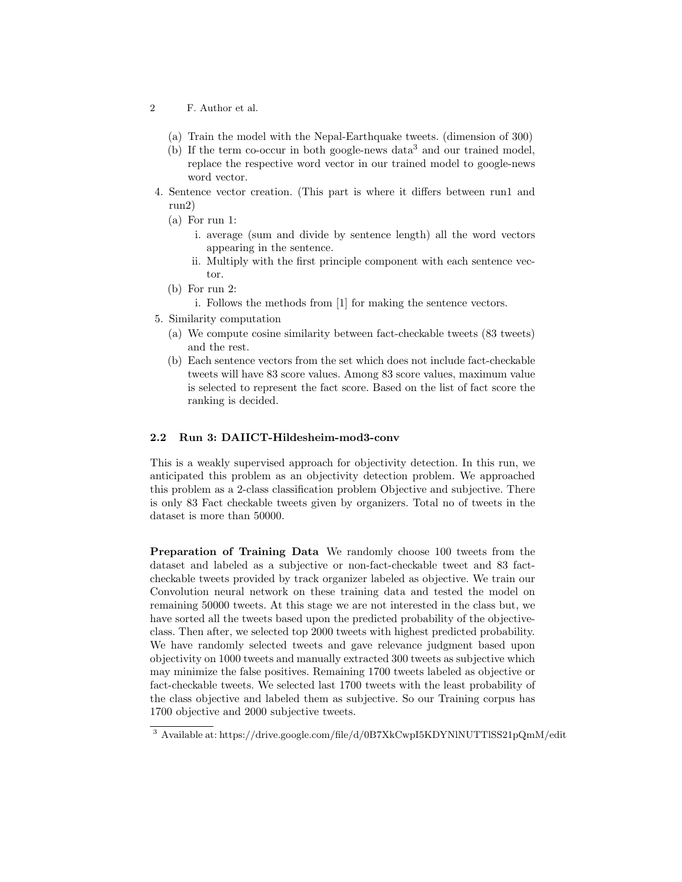- 2 F. Author et al.
	- (a) Train the model with the Nepal-Earthquake tweets. (dimension of 300)
	- (b) If the term co-occur in both google-news data<sup>3</sup> and our trained model, replace the respective word vector in our trained model to google-news word vector.
- 4. Sentence vector creation. (This part is where it differs between run1 and run2)
	- (a) For run 1:
		- i. average (sum and divide by sentence length) all the word vectors appearing in the sentence.
		- ii. Multiply with the first principle component with each sentence vector.
	- (b) For run 2:
		- i. Follows the methods from [1] for making the sentence vectors.
- 5. Similarity computation
	- (a) We compute cosine similarity between fact-checkable tweets (83 tweets) and the rest.
	- (b) Each sentence vectors from the set which does not include fact-checkable tweets will have 83 score values. Among 83 score values, maximum value is selected to represent the fact score. Based on the list of fact score the ranking is decided.

#### 2.2 Run 3: DAIICT-Hildesheim-mod3-conv

This is a weakly supervised approach for objectivity detection. In this run, we anticipated this problem as an objectivity detection problem. We approached this problem as a 2-class classification problem Objective and subjective. There is only 83 Fact checkable tweets given by organizers. Total no of tweets in the dataset is more than 50000.

Preparation of Training Data We randomly choose 100 tweets from the dataset and labeled as a subjective or non-fact-checkable tweet and 83 factcheckable tweets provided by track organizer labeled as objective. We train our Convolution neural network on these training data and tested the model on remaining 50000 tweets. At this stage we are not interested in the class but, we have sorted all the tweets based upon the predicted probability of the objectiveclass. Then after, we selected top 2000 tweets with highest predicted probability. We have randomly selected tweets and gave relevance judgment based upon objectivity on 1000 tweets and manually extracted 300 tweets as subjective which may minimize the false positives. Remaining 1700 tweets labeled as objective or fact-checkable tweets. We selected last 1700 tweets with the least probability of the class objective and labeled them as subjective. So our Training corpus has 1700 objective and 2000 subjective tweets.

<sup>3</sup> Available at: https://drive.google.com/file/d/0B7XkCwpI5KDYNlNUTTlSS21pQmM/edit